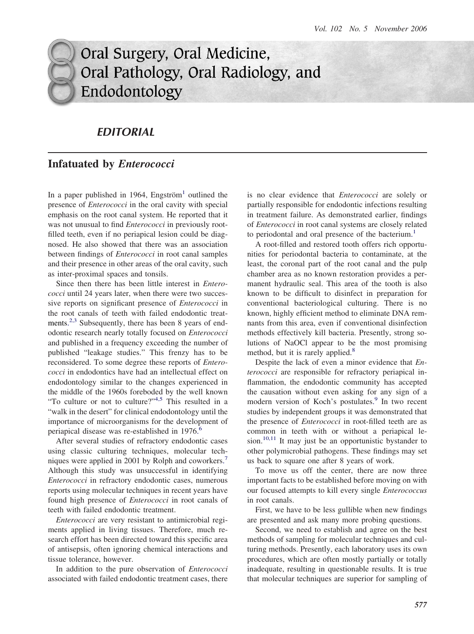# Oral Surgery, Oral Medicine, Oral Pathology, Oral Radiology, and Endodontology

## *EDITORIAL*

### **Infatuated by** *Enterococci*

In a paper published in [1](#page-1-0)964, Engström<sup>1</sup> outlined the presence of *Enterococci* in the oral cavity with special emphasis on the root canal system. He reported that it was not unusual to find *Enterococci* in previously rootfilled teeth, even if no periapical lesion could be diagnosed. He also showed that there was an association between findings of *Enterococci* in root canal samples and their presence in other areas of the oral cavity, such as inter-proximal spaces and tonsils.

Since then there has been little interest in *Enterococci* until 24 years later, when there were two successive reports on significant presence of *Enterococci* in the root canals of teeth with failed endodontic treat-ments.<sup>[2,3](#page-1-0)</sup> Subsequently, there has been 8 years of endodontic research nearly totally focused on *Enterococci* and published in a frequency exceeding the number of published "leakage studies." This frenzy has to be reconsidered. To some degree these reports of *Enterococci* in endodontics have had an intellectual effect on endodontology similar to the changes experienced in the middle of the 1960s foreboded by the well known "To culture or not to culture?"[4,5](#page-1-0) This resulted in a "walk in the desert" for clinical endodontology until the importance of microorganisms for the development of periapical disease was re-established in 197[6](#page-1-0).<sup>6</sup>

After several studies of refractory endodontic cases using classic culturing techniques, molecular techniques were applied in 2001 by Rolph and coworkers. [7](#page-1-0) Although this study was unsuccessful in identifying *Enterococci* in refractory endodontic cases, numerous reports using molecular techniques in recent years have found high presence of *Enterococci* in root canals of teeth with failed endodontic treatment.

*Enterococci* are very resistant to antimicrobial regiments applied in living tissues. Therefore, much research effort has been directed toward this specific area of antisepsis, often ignoring chemical interactions and tissue tolerance, however.

In addition to the pure observation of *Enterococci* associated with failed endodontic treatment cases, there

is no clear evidence that *Enterococci* are solely or partially responsible for endodontic infections resulting in treatment failure. As demonstrated earlier, findings of *Enterococci* in root canal systems are closely related to periodontal and oral presence of the bacterium.<sup>[1](#page-1-0)</sup>

A root-filled and restored tooth offers rich opportunities for periodontal bacteria to contaminate, at the least, the coronal part of the root canal and the pulp chamber area as no known restoration provides a permanent hydraulic seal. This area of the tooth is also known to be difficult to disinfect in preparation for conventional bacteriological culturing. There is no known, highly efficient method to eliminate DNA remnants from this area, even if conventional disinfection methods effectively kill bacteria. Presently, strong solutions of NaOCl appear to be the most promising method, but it is rarely applied.<sup>[8](#page-1-0)</sup>

Despite the lack of even a minor evidence that *Enterococci* are responsible for refractory periapical inflammation, the endodontic community has accepted the causation without even asking for any sign of a modern version of Koch's postulates. [9](#page-1-0) In two recent studies by independent groups it was demonstrated that the presence of *Enterococci* in root-filled teeth are as common in teeth with or without a periapical le-sion.<sup>[10,11](#page-1-0)</sup> It may just be an opportunistic bystander to other polymicrobial pathogens. These findings may set us back to square one after 8 years of work.

To move us off the center, there are now three important facts to be established before moving on with our focused attempts to kill every single *Enterococcus* in root canals.

First, we have to be less gullible when new findings are presented and ask many more probing questions.

Second, we need to establish and agree on the best methods of sampling for molecular techniques and culturing methods. Presently, each laboratory uses its own procedures, which are often mostly partially or totally inadequate, resulting in questionable results. It is true that molecular techniques are superior for sampling of